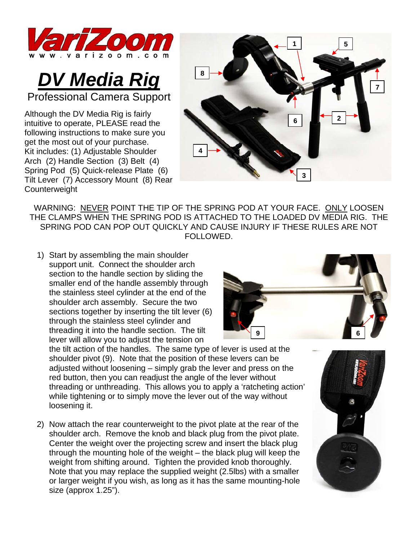



Although the DV Media Rig is fairly intuitive to operate, PLEASE read the following instructions to make sure you get the most out of your purchase. Kit includes: (1) Adjustable Shoulder Arch (2) Handle Section (3) Belt (4) Spring Pod (5) Quick-release Plate (6) Tilt Lever (7) Accessory Mount (8) Rear **Counterweight** 



WARNING: NEVER POINT THE TIP OF THE SPRING POD AT YOUR FACE. ONLY LOOSEN THE CLAMPS WHEN THE SPRING POD IS ATTACHED TO THE LOADED DV MEDIA RIG. THE SPRING POD CAN POP OUT QUICKLY AND CAUSE INJURY IF THESE RULES ARE NOT FOLLOWED.

1) Start by assembling the main shoulder support unit. Connect the shoulder arch section to the handle section by sliding the smaller end of the handle assembly through the stainless steel cylinder at the end of the shoulder arch assembly. Secure the two sections together by inserting the tilt lever (6) through the stainless steel cylinder and threading it into the handle section. The tilt lever will allow you to adjust the tension on



the tilt action of the handles. The same type of lever is used at the shoulder pivot (9). Note that the position of these levers can be adjusted without loosening – simply grab the lever and press on the red button, then you can readjust the angle of the lever without threading or unthreading. This allows you to apply a 'ratcheting action' while tightening or to simply move the lever out of the way without loosening it.

2) Now attach the rear counterweight to the pivot plate at the rear of the shoulder arch. Remove the knob and black plug from the pivot plate. Center the weight over the projecting screw and insert the black plug through the mounting hole of the weight – the black plug will keep the weight from shifting around. Tighten the provided knob thoroughly. Note that you may replace the supplied weight (2.5lbs) with a smaller or larger weight if you wish, as long as it has the same mounting-hole size (approx 1.25").